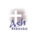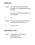# **GREETING**

**Presider: Let us begin our prayer service this Ash Wednesday as we normally begin with the sign of our faith.**

> **In the name of the Father, and of the Son, and of the Holy Spirit.**

- All: Amen
- **Presider: The Grace and peace of God our Father and the Lord Jesus Christ be with you all.**
- All: And with your spirit.

## **PENITENTIAL RITE**

**Presider: Coming together as God's children, we recognize our sins in God's merciful presence.**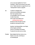**Let us now pray together the "Act of Contrition", which can be found on the insert of our "Gather Hymnals on page #2 and in our "Sunday Word" books on page #3.**

**All: I confess to almighty God, and to you my brothers and sisters that I have greatly sinned, in my thoughts, and in my words, in what I have done and in what I have failed to do, (striking breast saying) through my fault, through my fault, through my most grievous fault;**

> **therefore I ask blessed Mary, ever-Virgin, all the Angels and Saints, and you, my brothers and sisters, To pray for me to the Lord, our God.**

**Presider: May almighty God have mercy on us, forgive us our sins, and bring us to everlasting life.**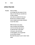**All: Amen**

## **OPEN PRAYER**

**Presider: God our Father, as we begin this holy season of Lent, help us to see that your merciful love is with us always, even when we wander far from you. We ask you to change our hearts, that we might become better followers of your Son Jesus.** 

> **With the help of your grace, may our prayers and sacrifices over the next forty days lead us to welcome Him in each other, in the poor, sick and lonely so that together, we can greet Him as one family at Easter. We make this prayer to you in Jesus' name. Amen.**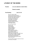# **LITURGY OF THE WORD**

## **Presider: Let us be attentive to God's Word.**

### **Please be seated.**

## **First Reading: Joel 2:12-18**

Even now, says the LORD, return to me with your whole heart, with fasting, and weeping, and mourning; Rend your hearts, not your garments, and return to the LORD, your God. For gracious and merciful is he, slow to anger, rich in kindness, and relenting in punishment. Perhaps he will again relent and leave behind him a blessing, Offerings and libations for the LORD, your God.

Blow the trumpet in Zion! proclaim a fast, call an assembly; Gather the people, notify the congregation; Assemble the elders, gather the children and the infants at the breast; Let the bridegroom quit his room and the bride her chamber. Between the porch and the altar let the priests, the ministers of the LORD, weep, And say, "Spare, O LORD, your people, and make not your heritage a reproach, with the nations ruling over them! Why should they say among the peoples, 'Where is their God?'"

Then the LORD was stirred to concern for his land and took pity on his people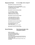## **Responsorial Psalm: 51: 3-4, 5-6ab, 12-13, 14 and 17**

### **Be merciful, O Lord, for we have sinned.**

Have mercy on me, O God, in your goodness; in the greatness of your compassion wipe out my offense. Thoroughly wash me from my guilt and of my sin cleanse me.

### **Be merciful, O Lord, for we have sinned.**

For I acknowledge my offense, and my sin is before me always: "Against you only have I sinned, and done what is evil in your sight."

### **Be merciful, O Lord, for we have sinned.**

A clean heart create for me, O God, and a steadfast spirit renew within me. Cast me not out from your presence, and your Holy Spirit take not from me.

### **Be merciful, O Lord, for we have sinned.**

Give me back the joy of your salvation, and a willing spirit sustain in me. O Lord, open my lips, and my mouth shall proclaim your praise

**Be merciful, O Lord, for we have sinned.**

## **Second Reading: Paul's Second Letter to the Corinthians 5:20-6:2**

Brothers and sisters: We are ambassadors for Christ, as if God were appealing through us. We implore you on behalf of Christ, be reconciled to God. For our sake he made him to be sin who did not know sin, so that we might become the righteousness of God in him. Working together, then, we appeal to you not to receive the grace of God in vain. For he says: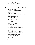*In an acceptable time I heard you, and on the day of salvation I helped you.*

Behold, now is a very acceptable time; behold, now is the day of salvation

### **Gospel Reading: Matthew 6: 1-6, 16-18**

Jesus said to his disciples: "Take care not to perform righteous deeds in order that people may see them; otherwise, you will have no recompense from your heavenly Father. When you give alms, do not blow a trumpet before you, as the hypocrites do in the synagogues and in the streets to win the praise of others. Amen, I say to you, they have received their reward. But when you give alms, do not let your left hand know what your right is doing, so that your almsgiving may be secret. And your Father who sees in secret will repay you.

"When you pray, do not be like the hypocrites, who love to stand and pray in the synagogues and on street corners so that others may see them. Amen, I say to you, they have received their reward. But when you pray, go to your inner room, close the door, and pray to your Father in secret. And your Father who sees in secret will repay you.

"When you fast, do not look gloomy like the hypocrites. They neglect their appearance, so that they may appear to others to be fasting. Amen, I say to you, they have received their reward. But when you fast, anoint your head and wash your face, so that you may not appear to be fasting, except to your Father who is hidden. And your Father who sees what is hidden will repay you."

The Gospel of the Lord.

### **Homily:**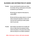## **BLESSING AND DISTRIBUTION OF ASHES**

**Presider: As you come forward to receive your ashes, the minister will say a brief prayer as the ashes are placed on your forehead.** 

> **We ask that you respond to that prayer by saying AMEN.**

**We also ask that you please observe a reverent silence during the imposition of ashes and once you have received your ashes, please return to your pew.**

**Presider: Dear brothers and sisters let us humbly ask God our Father that he be pleased to bless with the abundance of his grace these ashes, which we will put on our heads in penitence.**

**(After a brief prayer in silence, with hands extended)**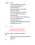**Presider: O God,** 

**who are moved by acts of humility and respond with forgiveness to works of penance, lend your merciful ear to our prayers and in your kindness pour out the grace of your + blessing on your servants who are marked with these ashes, that, as they follow the Lenten observances, they may be worthy to come with minds made pure to celebrate the Paschal Mystery of your Son. Through Christ our Lord.**

## All: Amen

**(Sprinkle ashes with holy water; Places ashes on those assisting you)**

**Presider: Repent, and believe in the Gospel.**

**OR:**

**Remember that you are dust, and to dust you shall return.**

All: Amen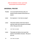**(After the distribution of ashes, wash hands and proceeds to the Universal Prayer.)**

## **UNIVERSAL PRAYER**

- **Presider: Let us pray that the God who calls us to penance and the renewal of life will hear our prayers.**
- **Lector: Our response is: "Lord, hear our prayer".**
- **Lector: That all the members of the Church take to heart the Lenten work of penance and renewal of life. We pray to the Lord.**
- All: Lord, hear our prayer.
- **Lector: That people and nations at war open their hearts to reconciliation and peace. We pray to the Lord.**
- All: Lord, hear our prayer.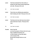**Lector: That those alienated from God, family, or friends turn their hearts toward forgiveness and unity. We pray to the Lord.**

All: Lord, hear our prayer.

**Lector: That all who are suffering may experience God's healing and relief. We pray to the Lord.**

All: Lord, hear our prayer.

**Lector: That those who have died may know eternal peace with God in heaven. We pray to the Lord.**

All: Lord, hear our prayer.

**Presider: God of new life, you hear the prayers of those who turn to you: keep us faithful during this Lent so that at Easter we may fully rejoice in the renewal of life. We ask this through Christ our Lord. Amen**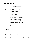# **LORD'S PRAYER**

## **Presider: Let us pray with confidence to the Father in the words our Savior gave us:**

All: Our Father, who art in heaven, hallowed be thy name. Thy Kingdom come, thy will be done, on earth as it is in heaven. Give us this day our daily bread. Forgive us our trespasses, as we forgive those who trespass against us. And lead us not into temptation, but deliver us from evil. Amen

# **DISMISSAL**

- **Presider: The Lord be with you.**
- All: And with your spirit.
- **Presider: Bow your heads and pray for God's blessing.**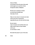**God our Father,**

**you formed us from the dust of the earth and brought us to new life in Christ through the waters of Baptism.**

**We ask you to change our hearts as we journey through these forty days of Lent.**

**Help us to see Jesus in everyone we meet, and to serve him in all persons, especially the poor, the sick and the lonely.**

**By your grace, may our prayers and sacrifices this Lent help us grow closer to each another and to you, as one family in Jesus.**

**We make this prayer to you in His name.**

**All: Amen**